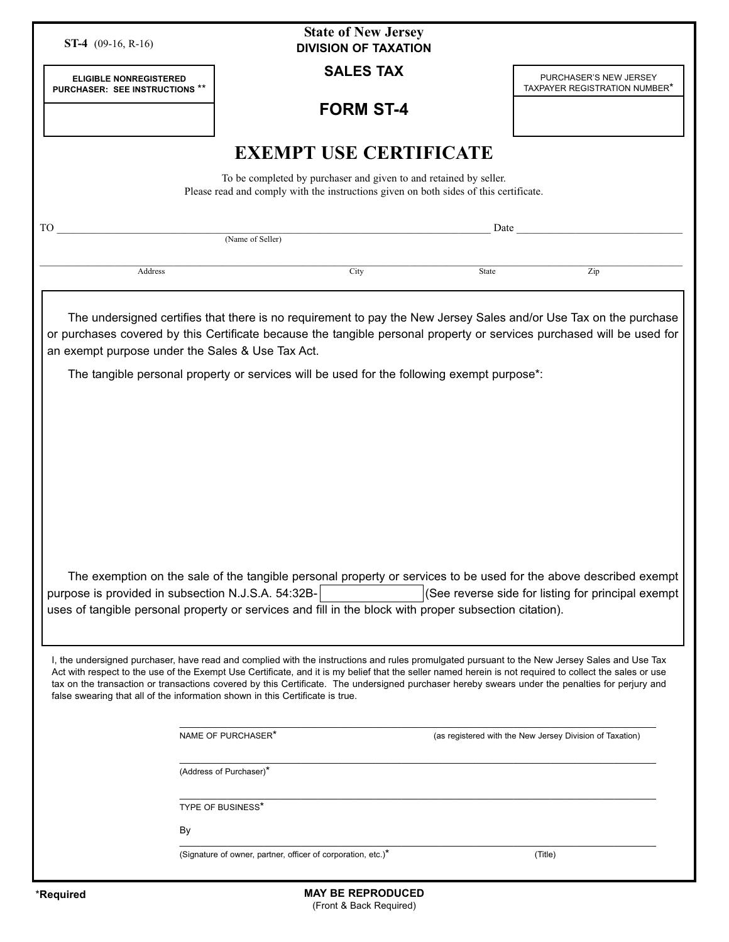| <b>State of New Jersey</b><br><b>ST-4</b> (09-16, R-16)<br><b>DIVISION OF TAXATION</b>                                                                                                                                                                                                                                                                                                                                                                                                                                                       |                                                              |       |                                                          |
|----------------------------------------------------------------------------------------------------------------------------------------------------------------------------------------------------------------------------------------------------------------------------------------------------------------------------------------------------------------------------------------------------------------------------------------------------------------------------------------------------------------------------------------------|--------------------------------------------------------------|-------|----------------------------------------------------------|
| <b>ELIGIBLE NONREGISTERED</b><br>PURCHASER: SEE INSTRUCTIONS **                                                                                                                                                                                                                                                                                                                                                                                                                                                                              | <b>SALES TAX</b>                                             |       | PURCHASER'S NEW JERSEY<br>TAXPAYER REGISTRATION NUMBER*  |
|                                                                                                                                                                                                                                                                                                                                                                                                                                                                                                                                              | <b>FORM ST-4</b>                                             |       |                                                          |
| <b>EXEMPT USE CERTIFICATE</b>                                                                                                                                                                                                                                                                                                                                                                                                                                                                                                                |                                                              |       |                                                          |
| To be completed by purchaser and given to and retained by seller.<br>Please read and comply with the instructions given on both sides of this certificate.                                                                                                                                                                                                                                                                                                                                                                                   |                                                              |       |                                                          |
| TO                                                                                                                                                                                                                                                                                                                                                                                                                                                                                                                                           | Date<br>(Name of Seller)                                     |       |                                                          |
| <b>Address</b>                                                                                                                                                                                                                                                                                                                                                                                                                                                                                                                               | City                                                         | State | Zip                                                      |
|                                                                                                                                                                                                                                                                                                                                                                                                                                                                                                                                              |                                                              |       |                                                          |
| The undersigned certifies that there is no requirement to pay the New Jersey Sales and/or Use Tax on the purchase<br>or purchases covered by this Certificate because the tangible personal property or services purchased will be used for<br>an exempt purpose under the Sales & Use Tax Act.                                                                                                                                                                                                                                              |                                                              |       |                                                          |
| The tangible personal property or services will be used for the following exempt purpose*:                                                                                                                                                                                                                                                                                                                                                                                                                                                   |                                                              |       |                                                          |
|                                                                                                                                                                                                                                                                                                                                                                                                                                                                                                                                              |                                                              |       |                                                          |
|                                                                                                                                                                                                                                                                                                                                                                                                                                                                                                                                              |                                                              |       |                                                          |
|                                                                                                                                                                                                                                                                                                                                                                                                                                                                                                                                              |                                                              |       |                                                          |
|                                                                                                                                                                                                                                                                                                                                                                                                                                                                                                                                              |                                                              |       |                                                          |
|                                                                                                                                                                                                                                                                                                                                                                                                                                                                                                                                              |                                                              |       |                                                          |
|                                                                                                                                                                                                                                                                                                                                                                                                                                                                                                                                              |                                                              |       |                                                          |
| The exemption on the sale of the tangible personal property or services to be used for the above described exempt<br>(See reverse side for listing for principal exempt<br>purpose is provided in subsection N.J.S.A. 54:32B-                                                                                                                                                                                                                                                                                                                |                                                              |       |                                                          |
| uses of tangible personal property or services and fill in the block with proper subsection citation).                                                                                                                                                                                                                                                                                                                                                                                                                                       |                                                              |       |                                                          |
| I, the undersigned purchaser, have read and complied with the instructions and rules promulgated pursuant to the New Jersey Sales and Use Tax<br>Act with respect to the use of the Exempt Use Certificate, and it is my belief that the seller named herein is not required to collect the sales or use<br>tax on the transaction or transactions covered by this Certificate. The undersigned purchaser hereby swears under the penalties for perjury and<br>false swearing that all of the information shown in this Certificate is true. |                                                              |       |                                                          |
|                                                                                                                                                                                                                                                                                                                                                                                                                                                                                                                                              | NAME OF PURCHASER*                                           |       | (as registered with the New Jersey Division of Taxation) |
|                                                                                                                                                                                                                                                                                                                                                                                                                                                                                                                                              | (Address of Purchaser)*                                      |       |                                                          |
|                                                                                                                                                                                                                                                                                                                                                                                                                                                                                                                                              | TYPE OF BUSINESS*                                            |       |                                                          |
| By                                                                                                                                                                                                                                                                                                                                                                                                                                                                                                                                           |                                                              |       |                                                          |
|                                                                                                                                                                                                                                                                                                                                                                                                                                                                                                                                              | (Signature of owner, partner, officer of corporation, etc.)* |       | (Title)                                                  |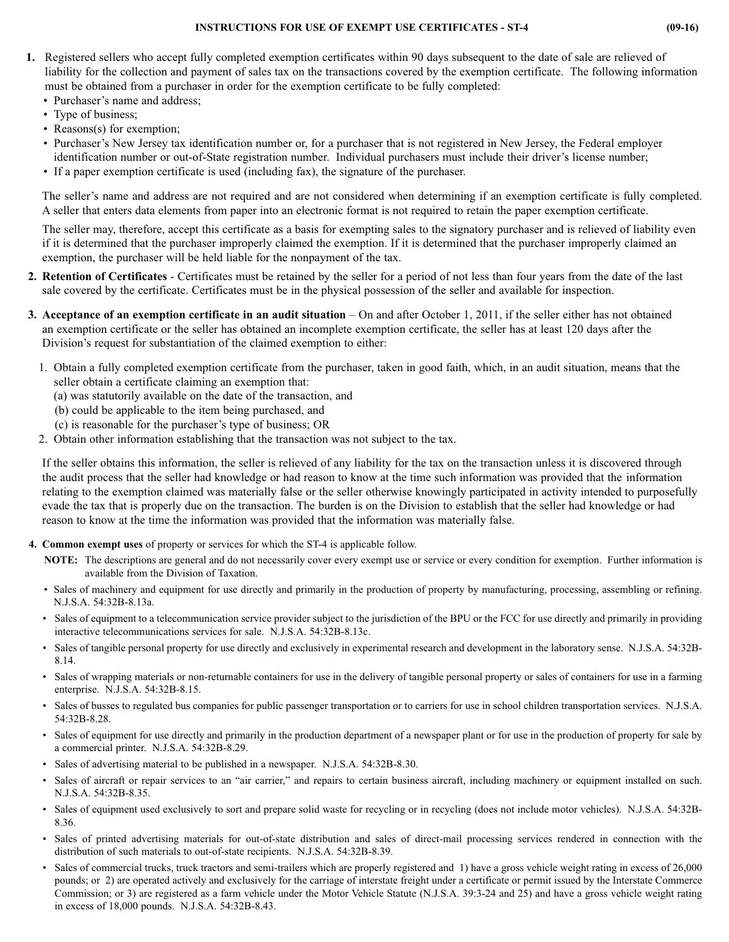## **INSTRUCTIONS FOR USE OF EXEMPT USE CERTIFICATES - ST-4 (09-16)**

- **1.** Registered sellers who accept fully completed exemption certificates within 90 days subsequent to the date of sale are relieved of liability for the collection and payment of sales tax on the transactions covered by the exemption certificate. The following information must be obtained from a purchaser in order for the exemption certificate to be fully completed:
	- Purchaser's name and address;
	- Type of business;
	- Reasons(s) for exemption;
	- Purchaser's New Jersey tax identification number or, for a purchaser that is not registered in New Jersey, the Federal employer identification number or out-of-State registration number. Individual purchasers must include their driver's license number;
	- If a paper exemption certificate is used (including fax), the signature of the purchaser.

The seller's name and address are not required and are not considered when determining if an exemption certificate is fully completed. A seller that enters data elements from paper into an electronic format is not required to retain the paper exemption certificate.

The seller may, therefore, accept this certificate as a basis for exempting sales to the signatory purchaser and is relieved of liability even if it is determined that the purchaser improperly claimed the exemption. If it is determined that the purchaser improperly claimed an exemption, the purchaser will be held liable for the nonpayment of the tax.

- **2. Retention of Certificates**  Certificates must be retained by the seller for a period of not less than four years from the date of the last sale covered by the certificate. Certificates must be in the physical possession of the seller and available for inspection.
- **3. Acceptance of an exemption certificate in an audit situation** On and after October 1, 2011, if the seller either has not obtained an exemption certificate or the seller has obtained an incomplete exemption certificate, the seller has at least 120 days after the Division's request for substantiation of the claimed exemption to either:
	- 1. Obtain a fully completed exemption certificate from the purchaser, taken in good faith, which, in an audit situation, means that the seller obtain a certificate claiming an exemption that:
		- (a) was statutorily available on the date of the transaction, and
		- (b) could be applicable to the item being purchased, and
		- (c) is reasonable for the purchaser's type of business; OR
	- 2. Obtain other information establishing that the transaction was not subject to the tax.

If the seller obtains this information, the seller is relieved of any liability for the tax on the transaction unless it is discovered through the audit process that the seller had knowledge or had reason to know at the time such information was provided that the information relating to the exemption claimed was materially false or the seller otherwise knowingly participated in activity intended to purposefully evade the tax that is properly due on the transaction. The burden is on the Division to establish that the seller had knowledge or had reason to know at the time the information was provided that the information was materially false.

- **4. Common exempt uses** of property or services for which the ST-4 is applicable follow.
	- **NOTE:** The descriptions are general and do not necessarily cover every exempt use or service or every condition for exemption. Further information is available from the Division of Taxation.
	- Sales of machinery and equipment for use directly and primarily in the production of property by manufacturing, processing, assembling or refining. N.J.S.A. 54:32B-8.13a.
	- Sales of equipment to a telecommunication service provider subject to the jurisdiction of the BPU or the FCC for use directly and primarily in providing interactive telecommunications services for sale. N.J.S.A. 54:32B-8.13c.
	- Sales of tangible personal property for use directly and exclusively in experimental research and development in the laboratory sense. N.J.S.A. 54:32B-8.14.
	- Sales of wrapping materials or non-returnable containers for use in the delivery of tangible personal property or sales of containers for use in a farming enterprise. N.J.S.A. 54:32B-8.15.
	- Sales of busses to regulated bus companies for public passenger transportation or to carriers for use in school children transportation services. N.J.S.A. 54:32B-8.28.
	- Sales of equipment for use directly and primarily in the production department of a newspaper plant or for use in the production of property for sale by a commercial printer. N.J.S.A. 54:32B-8.29.
	- Sales of advertising material to be published in a newspaper. N.J.S.A. 54:32B-8.30.
	- Sales of aircraft or repair services to an "air carrier," and repairs to certain business aircraft, including machinery or equipment installed on such. N.J.S.A. 54:32B-8.35.
	- Sales of equipment used exclusively to sort and prepare solid waste for recycling or in recycling (does not include motor vehicles). N.J.S.A. 54:32B-8.36.
	- Sales of printed advertising materials for out-of-state distribution and sales of direct-mail processing services rendered in connection with the distribution of such materials to out-of-state recipients. N.J.S.A. 54:32B-8.39.
	- Sales of commercial trucks, truck tractors and semi-trailers which are properly registered and 1) have a gross vehicle weight rating in excess of 26,000 pounds; or 2) are operated actively and exclusively for the carriage of interstate freight under a certificate or permit issued by the Interstate Commerce Commission; or 3) are registered as a farm vehicle under the Motor Vehicle Statute (N.J.S.A. 39:3-24 and 25) and have a gross vehicle weight rating in excess of 18,000 pounds. N.J.S.A. 54:32B-8.43.